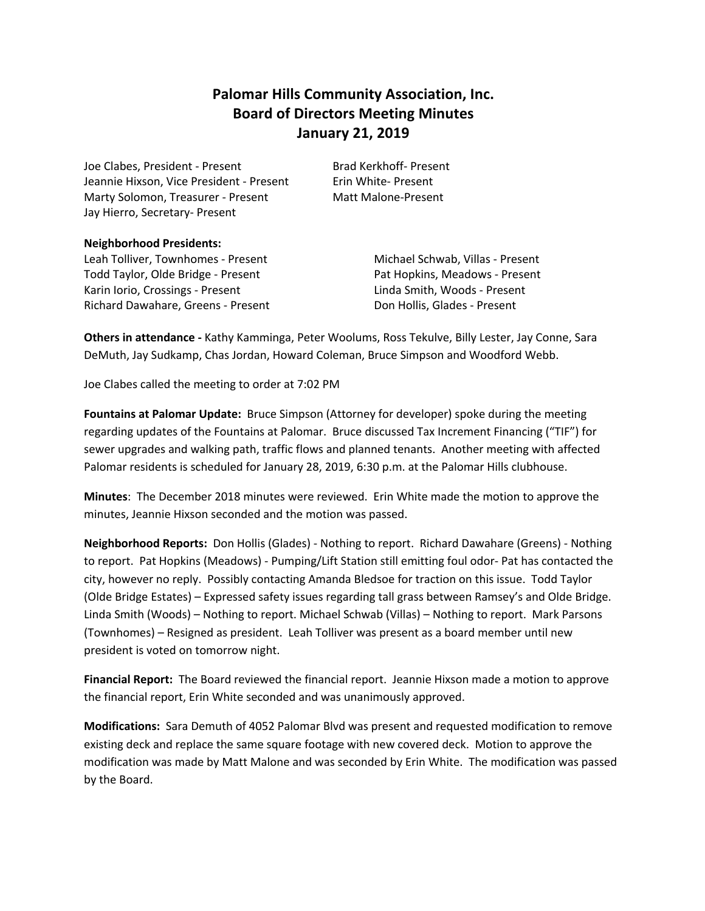# **Palomar Hills Community Association, Inc. Board of Directors Meeting Minutes January 21, 2019**

Joe Clabes, President - Present Brad Kerkhoff- Present Jeannie Hixson, Vice President - Present Frin White- Present Marty Solomon, Treasurer - Present Matt Malone-Present Jay Hierro, Secretary- Present

#### **Neighborhood Presidents:**

Leah Tolliver, Townhomes - Present Michael Schwab, Villas - Present Todd Taylor, Olde Bridge - Present Pat Hopkins, Meadows - Present Karin Iorio, Crossings - Present Linda Smith, Woods - Present Richard Dawahare, Greens - Present Don Hollis, Glades - Present

**Others in attendance -** Kathy Kamminga, Peter Woolums, Ross Tekulve, Billy Lester, Jay Conne, Sara DeMuth, Jay Sudkamp, Chas Jordan, Howard Coleman, Bruce Simpson and Woodford Webb.

Joe Clabes called the meeting to order at 7:02 PM

**Fountains at Palomar Update:** Bruce Simpson (Attorney for developer) spoke during the meeting regarding updates of the Fountains at Palomar. Bruce discussed Tax Increment Financing ("TIF") for sewer upgrades and walking path, traffic flows and planned tenants. Another meeting with affected Palomar residents is scheduled for January 28, 2019, 6:30 p.m. at the Palomar Hills clubhouse.

**Minutes**: The December 2018 minutes were reviewed. Erin White made the motion to approve the minutes, Jeannie Hixson seconded and the motion was passed.

**Neighborhood Reports:** Don Hollis (Glades) - Nothing to report. Richard Dawahare (Greens) - Nothing to report. Pat Hopkins (Meadows) - Pumping/Lift Station still emitting foul odor- Pat has contacted the city, however no reply. Possibly contacting Amanda Bledsoe for traction on this issue. Todd Taylor (Olde Bridge Estates) – Expressed safety issues regarding tall grass between Ramsey's and Olde Bridge. Linda Smith (Woods) – Nothing to report. Michael Schwab (Villas) – Nothing to report. Mark Parsons (Townhomes) – Resigned as president. Leah Tolliver was present as a board member until new president is voted on tomorrow night.

**Financial Report:** The Board reviewed the financial report. Jeannie Hixson made a motion to approve the financial report, Erin White seconded and was unanimously approved.

**Modifications:** Sara Demuth of 4052 Palomar Blvd was present and requested modification to remove existing deck and replace the same square footage with new covered deck. Motion to approve the modification was made by Matt Malone and was seconded by Erin White. The modification was passed by the Board.